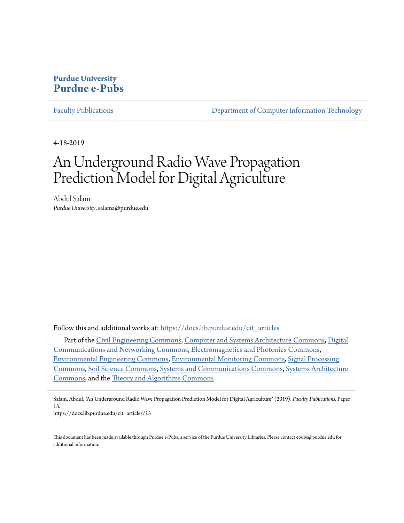### **Purdue University [Purdue e-Pubs](https://docs.lib.purdue.edu?utm_source=docs.lib.purdue.edu%2Fcit_articles%2F13&utm_medium=PDF&utm_campaign=PDFCoverPages)**

[Faculty Publications](https://docs.lib.purdue.edu/cit_articles?utm_source=docs.lib.purdue.edu%2Fcit_articles%2F13&utm_medium=PDF&utm_campaign=PDFCoverPages) [Department of Computer Information Technology](https://docs.lib.purdue.edu/cit?utm_source=docs.lib.purdue.edu%2Fcit_articles%2F13&utm_medium=PDF&utm_campaign=PDFCoverPages)

4-18-2019

# An Underground Radio Wave Propagation Prediction Model for Digital Agriculture

Abdul Salam *Purdue University*, salama@purdue.edu

Follow this and additional works at: [https://docs.lib.purdue.edu/cit\\_articles](https://docs.lib.purdue.edu/cit_articles?utm_source=docs.lib.purdue.edu%2Fcit_articles%2F13&utm_medium=PDF&utm_campaign=PDFCoverPages)

Part of the [Civil Engineering Commons,](http://network.bepress.com/hgg/discipline/252?utm_source=docs.lib.purdue.edu%2Fcit_articles%2F13&utm_medium=PDF&utm_campaign=PDFCoverPages) [Computer and Systems Architecture Commons](http://network.bepress.com/hgg/discipline/259?utm_source=docs.lib.purdue.edu%2Fcit_articles%2F13&utm_medium=PDF&utm_campaign=PDFCoverPages), [Digital](http://network.bepress.com/hgg/discipline/262?utm_source=docs.lib.purdue.edu%2Fcit_articles%2F13&utm_medium=PDF&utm_campaign=PDFCoverPages) [Communications and Networking Commons,](http://network.bepress.com/hgg/discipline/262?utm_source=docs.lib.purdue.edu%2Fcit_articles%2F13&utm_medium=PDF&utm_campaign=PDFCoverPages) [Electromagnetics and Photonics Commons,](http://network.bepress.com/hgg/discipline/271?utm_source=docs.lib.purdue.edu%2Fcit_articles%2F13&utm_medium=PDF&utm_campaign=PDFCoverPages) [Environmental Engineering Commons](http://network.bepress.com/hgg/discipline/254?utm_source=docs.lib.purdue.edu%2Fcit_articles%2F13&utm_medium=PDF&utm_campaign=PDFCoverPages), [Environmental Monitoring Commons,](http://network.bepress.com/hgg/discipline/931?utm_source=docs.lib.purdue.edu%2Fcit_articles%2F13&utm_medium=PDF&utm_campaign=PDFCoverPages) [Signal Processing](http://network.bepress.com/hgg/discipline/275?utm_source=docs.lib.purdue.edu%2Fcit_articles%2F13&utm_medium=PDF&utm_campaign=PDFCoverPages) [Commons,](http://network.bepress.com/hgg/discipline/275?utm_source=docs.lib.purdue.edu%2Fcit_articles%2F13&utm_medium=PDF&utm_campaign=PDFCoverPages) [Soil Science Commons,](http://network.bepress.com/hgg/discipline/163?utm_source=docs.lib.purdue.edu%2Fcit_articles%2F13&utm_medium=PDF&utm_campaign=PDFCoverPages) [Systems and Communications Commons,](http://network.bepress.com/hgg/discipline/276?utm_source=docs.lib.purdue.edu%2Fcit_articles%2F13&utm_medium=PDF&utm_campaign=PDFCoverPages) [Systems Architecture](http://network.bepress.com/hgg/discipline/144?utm_source=docs.lib.purdue.edu%2Fcit_articles%2F13&utm_medium=PDF&utm_campaign=PDFCoverPages) [Commons,](http://network.bepress.com/hgg/discipline/144?utm_source=docs.lib.purdue.edu%2Fcit_articles%2F13&utm_medium=PDF&utm_campaign=PDFCoverPages) and the [Theory and Algorithms Commons](http://network.bepress.com/hgg/discipline/151?utm_source=docs.lib.purdue.edu%2Fcit_articles%2F13&utm_medium=PDF&utm_campaign=PDFCoverPages)

Salam, Abdul, "An Underground Radio Wave Propagation Prediction Model for Digital Agriculture" (2019). *Faculty Publications.* Paper 13.

https://docs.lib.purdue.edu/cit\_articles/13

This document has been made available through Purdue e-Pubs, a service of the Purdue University Libraries. Please contact epubs@purdue.edu for additional information.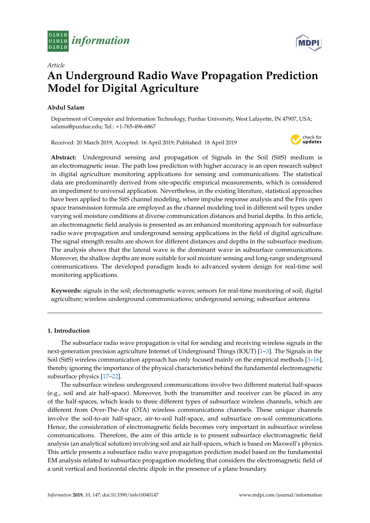



## **An Underground Radio Wave Propagation Prediction Model for Digital Agriculture**

#### **Abdul Salam**

*Article*

Department of Computer and Information Technology, Purdue University, West Lafayette, IN 47907, USA; salama@purdue.edu; Tel.: +1-765-496-6867

Received: 20 March 2019; Accepted: 16 April 2019; Published: 18 April 2019



**Abstract:** Underground sensing and propagation of Signals in the Soil (SitS) medium is an electromagnetic issue. The path loss prediction with higher accuracy is an open research subject in digital agriculture monitoring applications for sensing and communications. The statistical data are predominantly derived from site-specific empirical measurements, which is considered an impediment to universal application. Nevertheless, in the existing literature, statistical approaches have been applied to the SitS channel modeling, where impulse response analysis and the Friis open space transmission formula are employed as the channel modeling tool in different soil types under varying soil moisture conditions at diverse communication distances and burial depths. In this article, an electromagnetic field analysis is presented as an enhanced monitoring approach for subsurface radio wave propagation and underground sensing applications in the field of digital agriculture. The signal strength results are shown for different distances and depths in the subsurface medium. The analysis shows that the lateral wave is the dominant wave in subsurface communications. Moreover, the shallow depths are more suitable for soil moisture sensing and long-range underground communications. The developed paradigm leads to advanced system design for real-time soil monitoring applications.

**Keywords:** signals in the soil; electromagnetic waves; sensors for real-time monitoring of soil; digital agriculture; wireless underground communications; underground sensing; subsurface antenna

#### **1. Introduction**

The subsurface radio wave propagation is vital for sending and receiving wireless signals in the next-generation precision agriculture Internet of Underground Things (IOUT) [\[1](#page-17-0)[–3\]](#page-17-1). The Signals in the Soil (SitS) wireless communication approach has only focused mainly on the empirical methods [\[3](#page-17-1)[–16\]](#page-17-2), thereby ignoring the importance of the physical characteristics behind the fundamental electromagnetic subsurface physics [\[17](#page-17-3)[–22\]](#page-18-0).

The subsurface wireless underground communications involve two different material half-spaces (e.g., soil and air half-space). Moreover, both the transmitter and receiver can be placed in any of the half-spaces, which leads to three different types of subsurface wireless channels, which are different from Over-The-Air (OTA) wireless communications channels. These unique channels involve the soil-to-air half-space, air-to-soil half-space, and subsurface on-soil communications. Hence, the consideration of electromagnetic fields becomes very important in subsurface wireless communications. Therefore, the aim of this article is to present subsurface electromagnetic field analysis (an analytical solution) involving soil and air half-spaces, which is based on Maxwell's physics. This article presents a subsurface radio wave propagation prediction model based on the fundamental EM analysis related to subsurface propagation modeling that considers the electromagnetic field of a unit vertical and horizontal electric dipole in the presence of a plane boundary.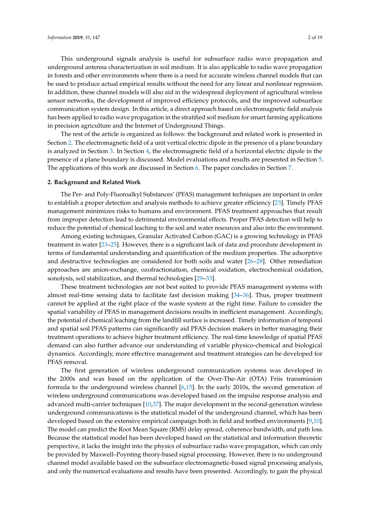This underground signals analysis is useful for subsurface radio wave propagation and underground antenna characterization in soil medium. It is also applicable to radio wave propagation in forests and other environments where there is a need for accurate wireless channel models that can be used to produce actual empirical results without the need for any linear and nonlinear regression. In addition, these channel models will also aid in the widespread deployment of agricultural wireless sensor networks, the development of improved efficiency protocols, and the improved subsurface communication system design. In this article, a direct approach based on electromagnetic field analysis has been applied to radio wave propagation in the stratified soil medium for smart farming applications in precision agriculture and the Internet of Underground Things.

The rest of the article is organized as follows: the background and related work is presented in Section [2.](#page-2-0) The electromagnetic field of a unit vertical electric dipole in the presence of a plane boundary is analyzed in Section [3.](#page-3-0) In Section [4,](#page-9-0) the electromagnetic field of a horizontal electric dipole in the presence of a plane boundary is discussed. Model evaluations and results are presented in Section [5.](#page-14-0) The applications of this work are discussed in Section [6.](#page-15-0) The paper concludes in Section [7.](#page-15-1)

#### <span id="page-2-0"></span>**2. Background and Related Work**

The Per- and Poly-Fluoroalkyl Substances' (PFAS) management techniques are important in order to establish a proper detection and analysis methods to achieve greater efficiency [\[23\]](#page-18-1). Timely PFAS management minimizes risks to humans and environment. PFAS treatment approaches that result from improper detection lead to detrimental environmental effects. Proper PFAS detection will help to reduce the potential of chemical leaching to the soil and water resources and also into the environment.

Among existing techniques, Granular Activated Carbon (GAC) is a growing technology in PFAS treatment in water [\[23–](#page-18-1)[25\]](#page-18-2). However, there is a significant lack of data and procedure development in terms of fundamental understanding and quantification of the medium properties. The adsorptive and destructive technologies are considered for both soils and water [\[26–](#page-18-3)[28\]](#page-18-4). Other remediation approaches are anion-exchange, ozofractionation, chemical oxidation, electrochemical oxidation, sonolysis, soil stabilization, and thermal technologies [\[29](#page-18-5)[–33\]](#page-18-6).

These treatment technologies are not best suited to provide PFAS management systems with almost real-time sensing data to facilitate fast decision making [\[34–](#page-18-7)[36\]](#page-18-8). Thus, proper treatment cannot be applied at the right place of the waste system at the right time. Failure to consider the spatial variability of PFAS in management decisions results in inefficient management. Accordingly, the potential of chemical leaching from the landfill surface is increased. Timely information of temporal and spatial soil PFAS patterns can significantly aid PFAS decision makers in better managing their treatment operations to achieve higher treatment efficiency. The real-time knowledge of spatial PFAS demand can also further advance our understanding of variable physico-chemical and biological dynamics. Accordingly, more effective management and treatment strategies can be developed for PFAS removal.

The first generation of wireless underground communication systems was developed in the 2000s and was based on the application of the Over-The-Air (OTA) Friis transmission formula to the underground wireless channel [\[6,](#page-17-4)[15\]](#page-17-5). In the early 2010s, the second generation of wireless underground communications was developed based on the impulse response analysis and advanced multi-carrier techniques [\[10](#page-17-6)[,37\]](#page-18-9). The major development in the second-generation wireless underground communications is the statistical model of the underground channel, which has been developed based on the extensive empirical campaign both in field and testbed environments [\[9,](#page-17-7)[10\]](#page-17-6). The model can predict the Root Mean Square (RMS) delay spread, coherence bandwidth, and path loss. Because the statistical model has been developed based on the statistical and information theoretic perspective, it lacks the insight into the physics of subsurface radio wave propagation, which can only be provided by Maxwell–Poynting theory-based signal processing. However, there is no underground channel model available based on the subsurface electromagnetic-based signal processing analysis, and only the numerical evaluations and results have been presented. Accordingly, to gain the physical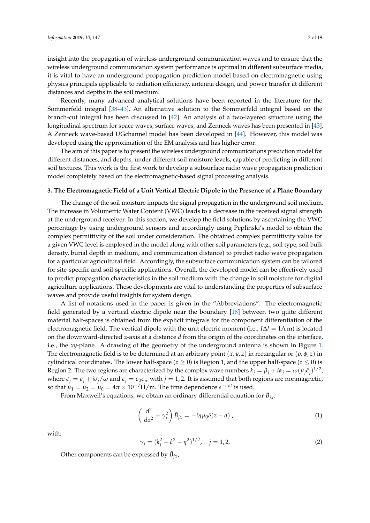insight into the propagation of wireless underground communication waves and to ensure that the wireless underground communication system performance is optimal in different subsurface media, it is vital to have an underground propagation prediction model based on electromagnetic using physics principals applicable to radiation efficiency, antenna design, and power transfer at different distances and depths in the soil medium.

Recently, many advanced analytical solutions have been reported in the literature for the Sommerfeld integral [\[38–](#page-18-10)[43\]](#page-19-0). An alternative solution to the Sommerfeld integral based on the branch-cut integral has been discussed in [\[42\]](#page-18-11). An analysis of a two-layered structure using the longitudinal spectrum for space waves, surface waves, and Zenneck waves has been presented in [\[43\]](#page-19-0). A Zenneck wave-based UGchannel model has been developed in [\[44\]](#page-19-1). However, this model was developed using the approximation of the EM analysis and has higher error.

The aim of this paper is to present the wireless underground communications prediction model for different distances, and depths, under different soil moisture levels, capable of predicting in different soil textures. This work is the first work to develop a subsurface radio wave propagation prediction model completely based on the electromagnetic-based signal processing analysis.

#### <span id="page-3-0"></span>**3. The Electromagnetic Field of a Unit Vertical Electric Dipole in the Presence of a Plane Boundary**

The change of the soil moisture impacts the signal propagation in the underground soil medium. The increase in Volumetric Water Content (VWC) leads to a decrease in the received signal strength at the underground receiver. In this section, we develop the field solutions by ascertaining the VWC percentage by using underground sensors and accordingly using Peplinski's model to obtain the complex permittivity of the soil under consideration. The obtained complex permittivity value for a given VWC level is employed in the model along with other soil parameters (e.g., soil type, soil bulk density, burial depth in medium, and communication distance) to predict radio wave propagation for a particular agricultural field. Accordingly, the subsurface communication system can be tailored for site-specific and soil-specific applications. Overall, the developed model can be effectively used to predict propagation characteristics in the soil medium with the change in soil moisture for digital agriculture applications. These developments are vital to understanding the properties of subsurface waves and provide useful insights for system design.

A list of notations used in the paper is given in the "Abbreviations". The electromagnetic field generated by a vertical electric dipole near the boundary [\[18\]](#page-17-8) between two quite different material half-spaces is obtained from the explicit integrals for the component differentiation of the electromagnetic field. The vertical dipole with the unit electric moment (i.e., *I*∆*l* = 1A m) is located on the downward-directed *z*-axis at a distance *d* from the origin of the coordinates on the interface, i.e., the *xy*-plane. A drawing of the geometry of the underground antenna is shown in Figure [1.](#page-5-0) The electromagnetic field is to be determined at an arbitrary point  $(x, y, z)$  in rectangular or  $(\rho, \phi, z)$  in cylindrical coordinates. The lower half-space ( $z \ge 0$ ) is Region 1, and the upper half-space ( $z \le 0$ ) is Region 2. The two regions are characterized by the complex wave numbers  $k_j = \beta_j + i\alpha_j = \omega(\mu_j \tilde{\epsilon}_j)^{1/2}$ , where  $\tilde{\epsilon}_i = \epsilon_i + i\sigma_i/\omega$  and  $\epsilon_i = \epsilon_0 \epsilon_{ir}$  with  $j = 1, 2$ . It is assumed that both regions are nonmagnetic, so that  $\mu_1 = \mu_2 = \mu_0 = 4\pi \times 10^{-7}$ H/m. The time dependence  $e^{-i\omega t}$  is used.

From Maxwell's equations, we obtain an ordinary differential equation for  $\bar{B}_{jx}$ :

$$
\left(\frac{\mathrm{d}^2}{\mathrm{d}z^2} + \gamma_j^2\right)\bar{B}_{jx} = -i\eta\mu_0\delta(z-d) , \qquad (1)
$$

with:

$$
\gamma_j = (k_j^2 - \xi^2 - \eta^2)^{1/2}, \quad j = 1, 2. \tag{2}
$$

Other components can be expressed by  $\bar{B}_{jx}$ ,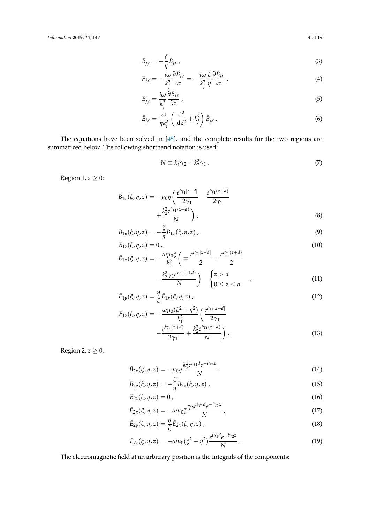$$
\bar{B}_{jy} = -\frac{\xi}{\eta} \bar{B}_{jx} \tag{3}
$$

$$
\bar{E}_{jx} = -\frac{i\omega}{k_j^2} \frac{\partial \bar{B}_{jy}}{\partial z} = -\frac{i\omega}{k_j^2} \frac{\xi}{\eta} \frac{\partial \bar{B}_{jx}}{\partial z},
$$
\n(4)

$$
\bar{E}_{jy} = \frac{i\omega}{k_j^2} \frac{\partial \bar{B}_{jx}}{\partial z},\tag{5}
$$

$$
\bar{E}_{jx} = \frac{\omega}{\eta k_j^2} \left( \frac{\mathrm{d}^2}{\mathrm{d}z^2} + k_j^2 \right) \bar{B}_{jx} \,. \tag{6}
$$

The equations have been solved in [\[45\]](#page-19-2), and the complete results for the two regions are summarized below. The following shorthand notation is used:

$$
N \equiv k_1^2 \gamma_2 + k_2^2 \gamma_1 \,. \tag{7}
$$

Region 1,  $z \geq 0$ :

$$
\bar{B}_{1x}(\xi, \eta, z) = -\mu_0 \eta \left( \frac{e^{i\gamma_1 |z - d|}}{2\gamma_1} - \frac{e^{i\gamma_1 (z + d)}}{2\gamma_1} + \frac{k_2^2 e^{i\gamma_1 (z + d)}}{N} \right),
$$
\n(8)

$$
\bar{B}_{1y}(\xi,\eta,z) = -\frac{\xi}{\eta}\bar{B}_{1x}(\xi,\eta,z) , \qquad (9)
$$

$$
\bar{B}_{1z}(\xi,\eta,z)=0\tag{10}
$$

$$
\bar{E}_{1x}(\xi, \eta, z) = -\frac{\omega \mu_0 \xi}{k_1^2} \left( \mp \frac{e^{i\gamma_1 |z-d|}}{2} + \frac{e^{i\gamma_1 (z+d)}}{2} - \frac{k_2^2 \gamma_1 e^{i\gamma_1 (z+d)}}{N} \right) \quad \begin{cases} z > d \\ 0 \le z \le d \end{cases}
$$
\n(11)

$$
\bar{E}_{1y}(\xi, \eta, z) = \frac{\eta}{\xi} \bar{E}_{1x}(\xi, \eta, z) , \qquad (12)
$$

$$
E_{1z}(\xi, \eta, z) = -\frac{\omega \mu_0(\xi^2 + \eta^2)}{k_1^2} \left( \frac{e^{i\gamma_1|z-d|}}{2\gamma_1} - \frac{e^{i\gamma_1(z+d)}}{2\gamma_1} + \frac{k_2^2 e^{i\gamma_1(z+d)}}{N} \right).
$$
\n(13)

Region 2,  $z \geq 0$ :

$$
\bar{B}_{2x}(\xi, \eta, z) = -\mu_0 \eta \frac{k_2^2 e^{i\gamma_1 d} e^{-i\gamma_2 z}}{N} , \qquad (14)
$$

$$
\bar{B}_{2y}(\xi,\eta,z) = -\frac{\xi}{\eta} \bar{B}_{2x}(\xi,\eta,z) , \qquad (15)
$$

$$
\bar{B}_{2z}(\xi, \eta, z) = 0 \tag{16}
$$

$$
\bar{E}_{2x}(\xi, \eta, z) = -\omega \mu_0 \xi \frac{\gamma_2 e^{i\gamma_1 d} e^{-i\gamma_2 z}}{N} , \qquad (17)
$$

$$
\bar{E}_{2y}(\xi,\eta,z) = \frac{\eta}{\xi} \bar{E}_{2x}(\xi,\eta,z) , \qquad (18)
$$

$$
\bar{E}_{2z}(\xi, \eta, z) = -\omega \mu_0 (\xi^2 + \eta^2) \frac{e^{i\gamma_1 d} e^{-i\gamma_2 z}}{N} \,. \tag{19}
$$

The electromagnetic field at an arbitrary position is the integrals of the components: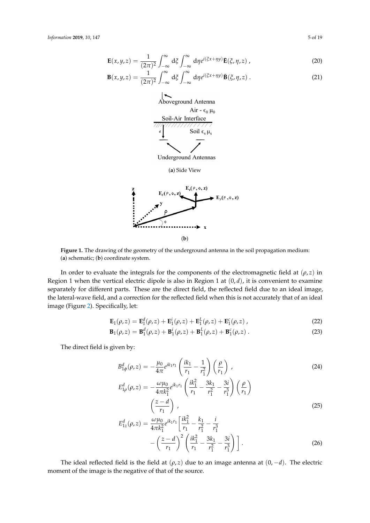$$
\mathbf{E}(x,y,z) = \frac{1}{(2\pi)^2} \int_{-\infty}^{\infty} d\xi \int_{-\infty}^{\infty} d\eta e^{i(\xi x + \eta y)} \mathbf{\bar{E}}(\xi, \eta, z) , \qquad (20)
$$

<span id="page-5-0"></span>
$$
\mathbf{B}(x,y,z) = \frac{1}{(2\pi)^2} \int_{-\infty}^{\infty} d\xi \int_{-\infty}^{\infty} d\eta e^{i(\xi x + \eta y)} \mathbf{\bar{B}}(\xi, \eta, z) . \tag{21}
$$



**Figure 1.** The drawing of the geometry of the underground antenna in the soil propagation medium: (**a**) schematic; (**b**) coordinate system.

In order to evaluate the integrals for the components of the electromagnetic field at  $(\rho, z)$  in Region 1 when the vertical electric dipole is also in Region 1 at  $(0, d)$ , it is convenient to examine separately for different parts. These are the direct field, the reflected field due to an ideal image, the lateral-wave field, and a correction for the reflected field when this is not accurately that of an ideal image (Figure [2\)](#page-9-1). Specifically, let:

$$
\mathbf{E}_1(\rho, z) = \mathbf{E}_1^d(\rho, z) + \mathbf{E}_1^i(\rho, z) + \mathbf{E}_1^L(\rho, z) + \mathbf{E}_1^c(\rho, z) , \qquad (22)
$$

$$
\mathbf{B}_1(\rho, z) = \mathbf{B}_1^d(\rho, z) + \mathbf{B}_1^i(\rho, z) + \mathbf{B}_1^L(\rho, z) + \mathbf{B}_1^c(\rho, z) . \tag{23}
$$

The direct field is given by:

$$
B_{1\phi}^{d}(\rho, z) = -\frac{\mu_0}{4\pi} e^{ik_1 r_1} \left( \frac{ik_1}{r_1} - \frac{1}{r_1^2} \right) \left( \frac{\rho}{r_1} \right) ,
$$
\n
$$
E_{1\rho}^{d}(\rho, z) = -\frac{\omega \mu_0}{4\pi k_1^2} e^{ik_1 r_1} \left( \frac{ik_1^2}{r_1} - \frac{3k_1}{r_1^2} - \frac{3i}{r_1^3} \right) \left( \frac{\rho}{r_1} \right)
$$
\n
$$
\left( \frac{z - d}{r_1} \right) ,
$$
\n(25)

$$
E_{1z}^{d}(\rho, z) = \frac{\omega \mu_0}{4\pi k_1^2} e^{ik_1 r_1} \left[ \frac{ik_1^2}{r_1} - \frac{k_1}{r_1^2} - \frac{i}{r_1^3} - \left( \frac{z - d}{r_1} \right)^2 \left( \frac{ik_1^2}{r_1} - \frac{3k_1}{r_1^2} - \frac{3i}{r_1^3} \right) \right].
$$
\n(26)

The ideal reflected field is the field at  $(\rho, z)$  due to an image antenna at  $(0, -d)$ . The electric moment of the image is the negative of that of the source.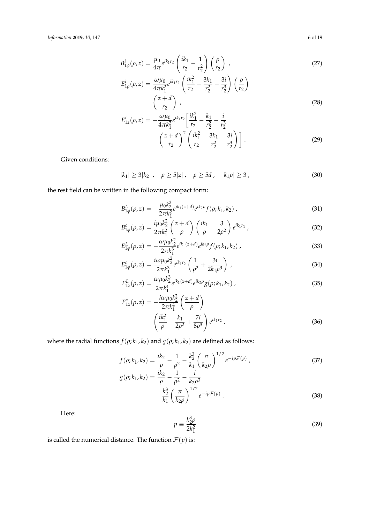$$
B_{1\phi}^i(\rho, z) = \frac{\mu_0}{4\pi} e^{ik_1 r_2} \left( \frac{ik_1}{r_2} - \frac{1}{r_2^2} \right) \left( \frac{\rho}{r_2} \right) ,
$$
 (27)

$$
E_{1\rho}^{i}(\rho,z) = \frac{\omega\mu_0}{4\pi k_1^2} e^{ik_1r_2} \left(\frac{ik_1^2}{r_2} - \frac{3k_1}{r_2^2} - \frac{3i}{r_2^3}\right) \left(\frac{\rho}{r_2}\right)
$$
  

$$
\left(\frac{z+d}{r_2}\right),
$$
 (28)

$$
E_{1z}^{i}(\rho, z) = -\frac{\omega\mu_0}{4\pi k_1^2} e^{ik_1 r_2} \left[ \frac{ik_1^2}{r_2} - \frac{k_1}{r_2^2} - \frac{i}{r_2^3} - \frac{i}{r_2^3} \right] - \left( \frac{z+d}{r_2} \right)^2 \left( \frac{ik_1^2}{r_2} - \frac{3k_1}{r_2^2} - \frac{3i}{r_2^3} \right) \right].
$$
 (29)

Given conditions:

<span id="page-6-0"></span>
$$
|k_1| \ge 3|k_2| \,, \quad \rho \ge 5|z| \,, \quad \rho \ge 5d \,, \quad |k_1\rho| \ge 3 \,, \tag{30}
$$

the rest field can be written in the following compact form:

$$
B_{1\phi}^{L}(\rho,z) = -\frac{\mu_0 k_2^2}{2\pi k_1^2} e^{ik_1(z+d)} e^{ik_2\rho} f(\rho; k_1, k_2) , \qquad (31)
$$

$$
B_{1\phi}^c(\rho, z) = \frac{i\mu_0 k_2^2}{2\pi k_1^2} \left(\frac{z+d}{\rho}\right) \left(\frac{ik_1}{\rho} - \frac{3}{2\rho^2}\right) e^{ik_1 r_1},\tag{32}
$$

$$
E_{1\phi}^{L}(\rho,z) = -\frac{\omega\mu_{0}k_{2}^{2}}{2\pi k_{1}^{3}}e^{ik_{1}(z+d)}e^{ik_{2}\rho}f(\rho;k_{1},k_{2})\,,\tag{33}
$$

$$
E_{1\phi}^c(\rho, z) = \frac{i\omega\mu_0 k_2^2}{2\pi k_1^3} e^{ik_1r_2} \left(\frac{1}{\rho^2} + \frac{3i}{2k_1\rho^3}\right) \,, \tag{34}
$$

$$
E_{1z}^{L}(\rho, z) = \frac{\omega \mu_0 k_2^3}{2\pi k_1^4} e^{ik_1(z+d)} e^{ik_2 \rho} g(\rho; k_1, k_2) , \qquad (35)
$$

$$
E_{1z}^{c}(\rho, z) = -\frac{i\omega\mu_{0}k_{2}^{2}}{2\pi k_{1}^{4}} \left(\frac{z+d}{\rho}\right)
$$

$$
\left(\frac{ik_{1}^{2}}{\rho} - \frac{k_{1}}{2\rho^{2}} + \frac{7i}{8\rho^{3}}\right) e^{ik_{1}r_{2}},
$$
(36)

where the radial functions  $f(\rho; k_1, k_2)$  and  $g(\rho; k_1, k_2)$  are defined as follows:

$$
f(\rho; k_1, k_2) = \frac{ik_2}{\rho} - \frac{1}{\rho^2} - \frac{k_2^3}{k_1} \left(\frac{\pi}{k_2 \rho}\right)^{1/2} e^{-ip\mathcal{F}(p)},
$$
  
\n
$$
g(\rho; k_1, k_2) = \frac{ik_2}{\rho^2} - \frac{1}{\rho^2} - \frac{i}{k_1 \rho^3}.
$$
\n(37)

$$
h_1(k_2) = \frac{4k_2}{\rho} - \frac{1}{\rho^2} - \frac{1}{k_2\rho^3} -\frac{k_2^3}{k_1} \left(\frac{\pi}{k_2\rho}\right)^{1/2} e^{-ip\mathcal{F}(p)}.
$$
 (38)

Here:

$$
p \equiv \frac{k_2^3 \rho}{2k_1^2} \tag{39}
$$

is called the numerical distance. The function  $\mathcal{F}(p)$  is: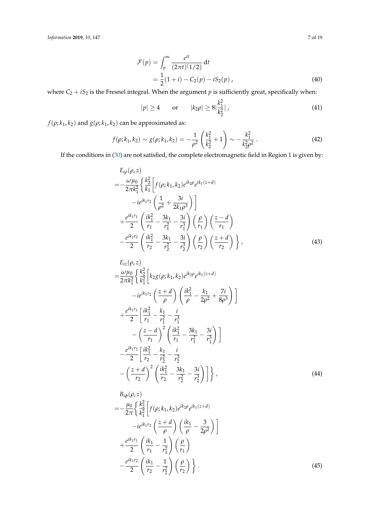$$
\mathcal{F}(p) = \int_{p}^{\infty} \frac{e^{it}}{(2\pi t)(1/2)} dt
$$
  
=  $\frac{1}{2}(1+i) - C_{2}(p) - iS_{2}(p)$ , (40)

where  $C_2 + iS_2$  is the Fresnel integral. When the argument  $p$  is sufficiently great, specifically when:

$$
|p| \ge 4 \qquad \text{or} \qquad |k_2 \rho| \ge 8 \left| \frac{k_1^2}{k_2^2} \right| \,, \tag{41}
$$

*f*( $\rho$ ;  $k_1$ ,  $k_2$ ) and  $g(\rho; k_1, k_2)$  can be approximated as:

$$
f(\rho; k_1, k_2) \sim g(\rho; k_1, k_2) = -\frac{1}{\rho^2} \left( \frac{k_1^2}{k_2^2} + 1 \right) \sim -\frac{k_1^2}{k_2^2 \rho^2} \,. \tag{42}
$$

If the conditions in [\(30\)](#page-6-0) are not satisfied, the complete electromagnetic field in Region 1 is given by:

$$
E_{i\rho}(\rho, z) = -\frac{\omega\mu_0}{2\pi k_1^2} \left\{ \frac{k_2^2}{k_1} \left[ f(\rho; k_1, k_2) e^{ik_2 \rho} e^{ik_1(z+d)} -ie^{ik_1r_2} \left( \frac{1}{\rho^2} + \frac{3i}{2k_1\rho^3} \right) \right] + \frac{e^{ik_1r_1}}{2} \left( \frac{ik_1^2}{r_1} - \frac{3k_1}{r_1^2} - \frac{3i}{r_1^3} \right) \left( \frac{\rho}{r_1} \right) \left( \frac{z-d}{r_1} \right) - \frac{e^{ik_1r_2}}{2} \left( \frac{ik_1^2}{r_2} - \frac{3k_1}{r_2^2} - \frac{3i}{r_2^3} \right) \left( \frac{\rho}{r_2} \right) \left( \frac{z+d}{r_2} \right) \right\},
$$
\n(43)

$$
E_{iz}(\rho, z)
$$
\n
$$
= \frac{\omega \mu_0}{2\pi k_1^2} \left\{ \frac{k_2^2}{k_1^2} \left[ k_2 g(\rho; k_1, k_2) e^{ik_2 \rho} e^{ik_1 (z+d)} \right. \right.
$$
\n
$$
-ie^{ik_1 r_2} \left( \frac{z+d}{\rho} \right) \left( \frac{ik_1^2}{\rho} - \frac{k_1}{2\rho^2} + \frac{7i}{8\rho^3} \right) \right]
$$
\n
$$
+ \frac{e^{ik_1 r_1}}{2} \left[ \frac{ik_1^2}{r_1} - \frac{k_1}{r_1^2} - \frac{i}{r_1^3} - \frac{i}{r_1^2} \right.
$$
\n
$$
- \left( \frac{z-d}{r_1} \right)^2 \left( \frac{ik_1^2}{r_1} - \frac{3k_1}{r_1^2} - \frac{3i}{r_1^3} \right) \right]
$$
\n
$$
- \frac{e^{ik_1 r_2}}{2} \left[ \frac{ik_1^2}{r_2} - \frac{k_1}{r_2^2} - \frac{i}{r_2^3} - \frac{3i}{r_1^3} \right] \right\}, \qquad (44)
$$

$$
B_{i\phi}(\rho, z) = -\frac{\mu_0}{2\pi} \left\{ \frac{k_2^2}{k_1^2} \left[ f(\rho; k_1, k_2) e^{ik_2 \rho} e^{ik_1 (z+d)} -ie^{ik_1 r_2} \left( \frac{z+d}{\rho} \right) \left( \frac{ik_1}{\rho} - \frac{3}{2\rho^2} \right) \right] + \frac{e^{ik_1 r_1}}{2} \left( \frac{ik_1}{r_1} - \frac{1}{r_1^2} \right) \left( \frac{\rho}{r_1} \right) - \frac{e^{ik_1 r_2}}{2} \left( \frac{ik_1}{r_2} - \frac{1}{r_2^2} \right) \left( \frac{\rho}{r_2} \right) \right\}.
$$
\n(45)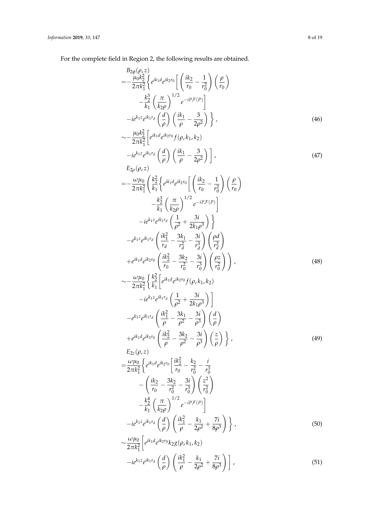For the complete field in Region 2, the following results are obtained.

$$
B_{2\phi}(\rho, z) = -\frac{\mu_0 k_2^2}{2\pi k_1^2} \left\{ e^{ik_1 d} e^{ik_2 r_0} \left[ \left( \frac{ik_2}{r_0} - \frac{1}{r_0^2} \right) \left( \frac{\rho}{r_0} \right) - \frac{k_2^3}{r_1^2} \left( \frac{\pi}{k_2 \rho} \right)^{1/2} e^{-i P \mathcal{F}(P)} \right] -ie^{k_1 z} e^{ik_1 r_d} \left( \frac{d}{\rho} \right) \left( \frac{ik_1}{\rho} - \frac{3}{2\rho^2} \right) \right\},
$$
\n(46)  
\n
$$
\sim -\frac{\mu_0 k_2^2}{2\pi k_1^2} \left[ e^{ik_1 d} e^{ik_2 r_0} f(\rho, k_1, k_2) -ie^{k_1 z} e^{ik_1 r_d} \left( \frac{d}{\rho} \right) \left( \frac{ik_1}{\rho} - \frac{3}{2\rho^2} \right) \right],
$$
\n(47)  
\n
$$
E_{2\rho}(\rho, z) = -\frac{\omega \mu_0}{2\pi k_1^2} \left( \frac{k_2^2}{k_1} \left( e^{ik_1 d} e^{ik_2 r_0} \left[ \left( \frac{ik_2}{r_0} - \frac{1}{r_0^2} \right) \left( \frac{\rho}{r_0} \right) - \frac{k_2^3}{k_1} \left( \frac{\pi}{k_2 \rho} \right)^{1/2} e^{-i P \mathcal{F}(P)} \right] -ie^{k_1 z} e^{ik_1 r_d} \left( \frac{1}{\rho^2} + \frac{3i}{2k_1 \rho^3} \right) \right\}
$$
\n
$$
-e^{k_1 z} e^{ik_1 r_d} \left( \frac{ik_1^2}{r_d} - \frac{3k_1}{r_d^2} - \frac{3i}{r_d^3} \right) \left( \frac{\rho d}{r_d^2} \right)
$$
\n
$$
+e^{ik_1 d} e^{ik_2 r_0} \left( \frac{ik_2^2}{r_0} - \frac{3k_2}{r_0^2} - \frac{3i}{r_0^3} \right) \left( \frac{\rho z}{r_0^2} \right) \right),
$$

$$
\sim \frac{\omega \mu_0}{2\pi k_1^2} \left[ e^{ik_1 d} e^{ik_2 r_0} k_2 g(\rho, k_1, k_2) -ie^{k_1 z} e^{ik_1 r_d} \left(\frac{d}{\rho}\right) \left(\frac{ik_1^2}{\rho} - \frac{k_1}{2\rho^2} + \frac{7i}{8\rho^3}\right) \right],
$$
\n
$$
(51)
$$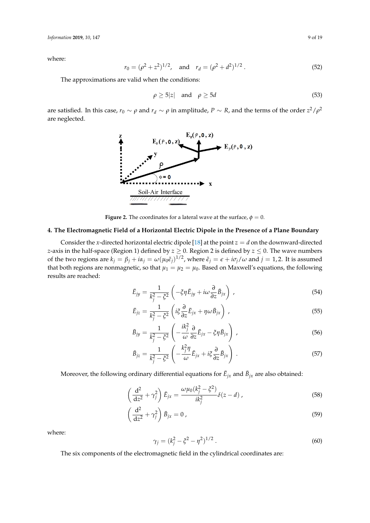where:

$$
r_0 = (\rho^2 + z^2)^{1/2}
$$
, and  $r_d = (\rho^2 + d^2)^{1/2}$ . (52)

The approximations are valid when the conditions:

$$
\rho \ge 5|z| \quad \text{and} \quad \rho \ge 5d \tag{53}
$$

<span id="page-9-1"></span>are satisfied. In this case,  $r_0 \sim \rho$  and  $r_d \sim \rho$  in amplitude,  $P \sim R$ , and the terms of the order  $z^2/\rho^2$ are neglected.



**Figure 2.** The coordinates for a lateral wave at the surface,  $\phi = 0$ .

#### <span id="page-9-0"></span>**4. The Electromagnetic Field of a Horizontal Electric Dipole in the Presence of a Plane Boundary**

Consider the *x*-directed horizontal electric dipole [\[18\]](#page-17-8) at the point  $z = d$  on the downward-directed *z*-axis in the half-space (Region 1) defined by *z* ≥ 0. Region 2 is defined by *z* ≤ 0. The wave numbers of the two regions are  $k_j = \beta_j + i\alpha_j = \omega(\mu_0 \tilde{\epsilon}_j)^{1/2}$ , where  $\tilde{\epsilon}_j = \epsilon + i\sigma_j/\omega$  and  $j = 1, 2$ . It is assumed that both regions are nonmagnetic, so that  $\mu_1 = \mu_2 = \mu_0$ . Based on Maxwell's equations, the following results are reached:

$$
\bar{E}_{jy} = \frac{1}{k_j^2 - \xi^2} \left( -\xi \eta \bar{E}_{jy} + i\omega \frac{\partial}{\partial z} \bar{B}_{jx} \right) , \qquad (54)
$$

$$
\bar{E}_{jz} = \frac{1}{k_j^2 - \xi^2} \left( i \xi \frac{\partial}{\partial z} \bar{E}_{jx} + \eta \omega \bar{B}_{jx} \right) , \qquad (55)
$$

$$
\bar{B}_{jy} = \frac{1}{k_j^2 - \xi^2} \left( -\frac{ik_j^2}{\omega} \frac{\partial}{\partial z} \bar{E}_{jx} - \xi \eta \bar{B}_{jx} \right) , \qquad (56)
$$

$$
\bar{B}_{jz} = \frac{1}{k_j^2 - \xi^2} \left( -\frac{k_j^2 \eta}{\omega} \bar{E}_{jx} + i \xi \frac{\partial}{\partial z} \bar{B}_{jx} \right) . \tag{57}
$$

Moreover, the following ordinary differential equations for  $\bar{E}_{jx}$  and  $\bar{B}_{jx}$  are also obtained:

$$
\left(\frac{d^2}{dz^2} + \gamma_j^2\right)\bar{E}_{jx} = \frac{\omega\mu_0(k_j^2 - \xi^2)}{ik_j^2}\delta(z - d) ,\qquad (58)
$$

$$
\left(\frac{\mathrm{d}^2}{\mathrm{d}z^2} + \gamma_j^2\right)\bar{B}_{jx} = 0\,,\tag{59}
$$

where:

$$
\gamma_j = (k_j^2 - \xi^2 - \eta^2)^{1/2} \,. \tag{60}
$$

The six components of the electromagnetic field in the cylindrical coordinates are: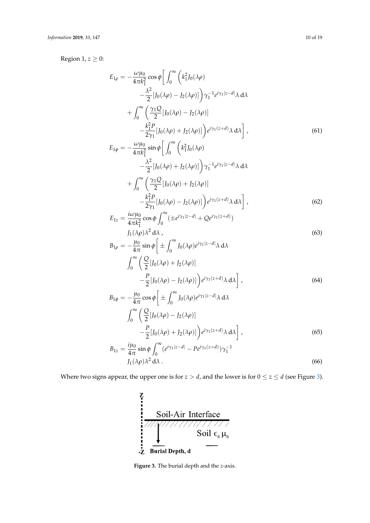Region 1,  $z \geq 0$ :

$$
E_{1\rho} = -\frac{\omega\mu_0}{4\pi k_1^2} \cos\phi \left[ \int_0^\infty \left( k_1^2 J_0(\lambda \rho) - \frac{\lambda^2}{2} [J_0(\lambda \rho) - J_2(\lambda \rho)] \right) \gamma_1^{-1} e^{i\gamma_1 |z-d|} \lambda \, d\lambda \right] + \int_0^\infty \left( \frac{\gamma_1 Q}{2} [J_0(\lambda \rho) - J_2(\lambda \rho)] - \frac{k_1^2 P}{2\gamma_1} [J_0(\lambda \rho) + J_2(\lambda \rho)] \right) e^{i\gamma_1 (z+d)} \lambda \, d\lambda \right],
$$
 (61)

$$
E_{1\phi} = -\frac{\omega\mu_0}{4\pi k_1^2} \sin\phi \left[ \int_0^\infty \left( k_1^2 J_0(\lambda \rho) -\frac{\lambda^2}{2} [J_0(\lambda \rho) + J_2(\lambda \rho)] \right) \gamma_1^{-1} e^{i\gamma_1 |z-d|} \lambda \, d\lambda \right]
$$

$$
+ \int_0^\infty \left( \frac{\gamma_1 Q}{2} [J_0(\lambda \rho) + J_2(\lambda \rho)] -\frac{k_1^2 P}{2\gamma_1} [J_0(\lambda \rho) - J_2(\lambda \rho)] \right) e^{i\gamma_1 (z+d)} \lambda \, d\lambda \right],
$$
(62)

$$
E_{1z} = \frac{i\omega\mu_0}{4\pi k_1^2} \cos\phi \int_0^\infty (\pm e^{i\gamma_1|z-d|} + Qe^{i\gamma_1(z+d)})
$$
  

$$
J_1(\lambda \rho)\lambda^2 d\lambda,
$$
 (63)

$$
B_{1\rho} = -\frac{\mu_0}{4\pi} \sin \phi \left[ \pm \int_0^\infty J_0(\lambda \rho) e^{i\gamma_1 |z-d|} \lambda \, d\lambda \right]
$$

$$
\int_0^\infty \left( \frac{Q}{2} [J_0(\lambda \rho) + J_2(\lambda \rho)] - \frac{P}{2} [J_0(\lambda \rho) - J_2(\lambda \rho)] \right) e^{i\gamma_1 (z+d)} \lambda \, d\lambda \right],
$$
(64)

$$
B_{1\phi} = -\frac{\mu_0}{4\pi} \cos \phi \left[ \pm \int_0^\infty J_0(\lambda \rho) e^{i\gamma_1 |z-d|} \lambda \, d\lambda \right]
$$

$$
\int_0^\infty \left( \frac{Q}{2} [J_0(\lambda \rho) - J_2(\lambda \rho)] - \frac{P}{2} [J_0(\lambda \rho) + J_2(\lambda \rho)] \right) e^{i\gamma_1 (z+d)} \lambda \, d\lambda \right],
$$

$$
B_{1z} = \frac{i\mu_0}{4\pi} \sin \phi \int_0^\infty (e^{i\gamma_1 |z-d|} - Pe^{i\gamma_1 (z+d)}) \gamma_1^{-1}
$$
(65)

$$
B_{1z} = \frac{1}{4\pi} \sin \varphi \int_0^{\pi} (e^{i\pi/2} - Pe^{i\pi/2})^2 \gamma_1
$$
  

$$
J_1(\lambda \rho) \lambda^2 d\lambda
$$
 (66)

<span id="page-10-0"></span>Where two signs appear, the upper one is for  $z > d$ , and the lower is for  $0 \le z \le d$  (see Figure [3\)](#page-10-0).



**Figure 3.** The burial depth and the *z*-axis.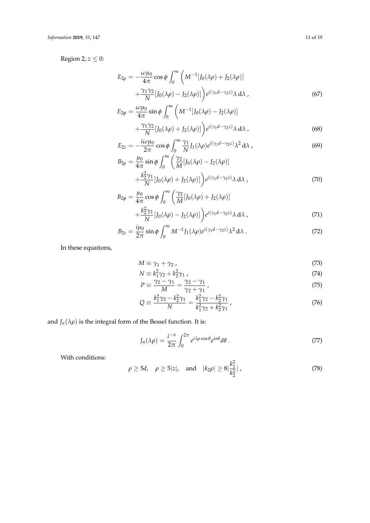Region 2,  $z \leq 0$ :

$$
E_{2\rho} = -\frac{\omega\mu_0}{4\pi}\cos\phi \int_0^\infty \left(M^{-1}[J_0(\lambda\rho) + J_2(\lambda\rho)]\right) + \frac{\gamma_1\gamma_2}{N}[J_0(\lambda\rho) - J_2(\lambda\rho)]\right)e^{i(\gamma_1d - \gamma_2z)}\lambda\,d\lambda\,,\tag{67}
$$

$$
E_{2\phi} = \frac{\omega\mu_0}{4\pi} \sin\phi \int_0^\infty \left( M^{-1} [J_0(\lambda\rho) - J_2(\lambda\rho)] + \frac{\gamma_1 \gamma_2}{N} [J_0(\lambda\rho) + J_2(\lambda\rho)] \right) e^{i(\gamma_1 d - \gamma_2 z)} \lambda \, d\lambda ,
$$
\n(68)

$$
E_{2z} = -\frac{i\omega\mu_0}{2\pi}\cos\phi \int_0^\infty \frac{\gamma_1}{N} J_1(\lambda\rho) e^{i(\gamma_1 d - \gamma_2 z)} \lambda^2 d\lambda ,
$$
  
\n
$$
B_{2\rho} = \frac{\mu_0}{4\pi}\sin\phi \int_0^\infty \left(\frac{\gamma_2}{M} [J_0(\lambda\rho) - J_2(\lambda\rho)]\right)
$$
 (69)

$$
\rho = \frac{\mu_0}{4\pi} \sin \phi \int_0^\infty \left( \frac{\gamma_2}{M} [J_0(\lambda \rho) - J_2(\lambda \rho)] + \frac{k_2^2 \gamma_1}{N} [J_0(\lambda \rho) + J_2(\lambda \rho)] \right) e^{i(\gamma_1 d - \gamma_2 z)} \lambda \, d\lambda \tag{70}
$$

$$
B_{2\phi} = \frac{\mu_0}{4\pi} \cos \phi \int_0^{\infty} \left( \frac{\gamma_2}{M} [J_0(\lambda \rho) + J_2(\lambda \rho)] + \frac{k_2^2 \gamma_1}{N} [J_0(\lambda \rho) - J_2(\lambda \rho)] \right) e^{i(\gamma_1 d - \gamma_2 z)} \lambda d\lambda ,
$$
\n(71)

$$
B_{2z} = \frac{i\mu_0}{2\pi} \sin\phi \int_0^\infty M^{-1} J_1(\lambda \rho) e^{i(\gamma_1 d - \gamma_2 z)} \lambda^2 d\lambda \tag{72}
$$

In these equations,

$$
M \equiv \gamma_1 + \gamma_2 \,, \tag{73}
$$

$$
N \equiv k_1^2 \gamma_2 + k_2^2 \gamma_1 \tag{74}
$$

$$
P \equiv \frac{\gamma_2 - \gamma_1}{M} = \frac{\gamma_2 - \gamma_1}{\gamma_2 + \gamma_1},\tag{75}
$$

$$
Q = \frac{k_1^2 \gamma_2 - k_2^2 \gamma_1}{N} = \frac{k_1^2 \gamma_2 - k_2^2 \gamma_1}{k_1^2 \gamma_2 + k_2^2 \gamma_1},
$$
\n(76)

and  $J_n(\lambda \rho)$  is the integral form of the Bessel function. It is:

$$
J_n(\lambda \rho) = \frac{i^{-n}}{2\pi} \int_0^{2\pi} e^{i\lambda \rho \cos \theta} e^{in\theta} d\theta.
$$
 (77)

With conditions:

$$
\rho \ge 5d, \quad \rho \ge 5|z|, \quad \text{and} \quad |k_2 \rho| \ge 8|\frac{k_1^2}{k_2^2}|,
$$
\n(78)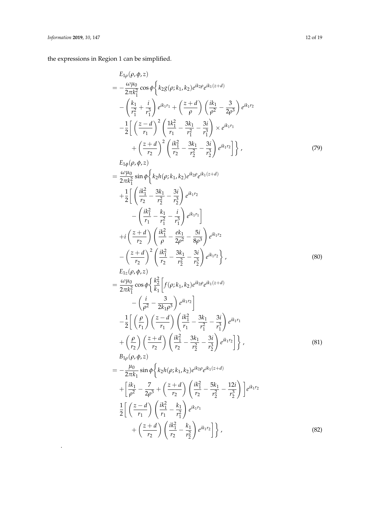.

the expressions in Region 1 can be simplified.

$$
E_{1\rho}(\rho,\phi,z)
$$
\n
$$
= -\frac{\omega\mu_0}{2\pi k_1^2} \cos \phi \left\{ k_2 g(\rho; k_1, k_2) e^{ik_2 \rho} e^{ik_1(z+d)} - \left( \frac{k_1}{r_1^2} + \frac{i}{r_1^3} \right) e^{ik_1 r_1} + \left( \frac{z+d}{\rho} \right) \left( \frac{ik_1}{\rho^2} - \frac{3}{2\rho^3} \right) e^{ik_1 r_2} - \frac{1}{2} \left[ \left( \frac{z-d}{r_1} \right)^2 \left( \frac{1k_1^2}{r_1} - \frac{3k_1}{r_1^2} - \frac{3i}{r_1^3} \right) \times e^{ik_1 r_1} + \left( \frac{z+d}{r_2} \right)^2 \left( \frac{ik_1^2}{r_2} - \frac{3k_1}{r_2^2} - \frac{3i}{r_2^3} \right) e^{ik_1 r_2} \right] \right\},
$$
\n
$$
E_{1\phi}(\rho, \phi, z)
$$
\n
$$
= \frac{\omega\mu_0}{2\pi k_1^2} \sin \phi \left\{ k_2 h(\rho; k_1, k_2) e^{ik_2 \rho} e^{ik_1(z+d)} + \frac{1}{2} \left[ \left( \frac{ik_1^2}{r_2} - \frac{3k_1}{r_2^2} - \frac{3i}{r_2^3} \right) e^{ik_1 r_2} - \left( \frac{ik_1^2}{r_1} - \frac{k_1}{r_1^2} - \frac{i}{r_1^3} \right) e^{ik_1 r_1} \right] + i \left( \frac{z+d}{r_2} \right) \left( \frac{ik_1^2}{\rho} - \frac{ek_1}{2\rho^2} - \frac{5i}{8\rho^3} \right) e^{ik_1 r_2} - \left( \frac{z+d}{r_2} \right)^2 \left( \frac{ik_1^2}{r_2} - \frac{sk_1}{r_2^2} - \frac{3i}{r_2^3} \right) e^{ik_1 r_2} \right\},
$$
\n
$$
E_{1z}(\rho, \phi, z)
$$
\n
$$
= \frac{\omega\mu_0}{2\pi k_1^2} \cos \
$$

$$
2\pi k_1^2 \longrightarrow \left[ k_1 \right]^{(1)} \longrightarrow 2
$$
  
\n
$$
- \left( \frac{i}{\rho^2} - \frac{3}{2k_1\rho^3} \right) e^{ik_1r_2}
$$
  
\n
$$
- \frac{1}{2} \left[ \left( \frac{\rho}{r_1} \right) \left( \frac{z - d}{r_1} \right) \left( \frac{ik_1^2}{r_1} - \frac{3k_1}{r_1^2} - \frac{3i}{r_1^3} \right) e^{ik_1r_1}
$$
  
\n
$$
+ \left( \frac{\rho}{r_2} \right) \left( \frac{z + d}{r_2} \right) \left( \frac{ik_1^2}{r_2} - \frac{3k_1}{r_2^2} - \frac{3i}{r_2^3} \right) e^{ik_1r_2} \right]
$$
  
\n
$$
B_{1\rho}(\rho, \phi, z)
$$
  
\n
$$
= -\frac{\mu_0}{2\pi k_1} \sin \phi \left\{ k_2 h(\rho; k_1, k_2) e^{ik_2\rho} e^{ik_1(z + d)} \right\}
$$
  
\n(81)

$$
+\left[\frac{ik_1}{\rho^2} - \frac{7}{2\rho^3} + \left(\frac{z+d}{r_2}\right) \left(\frac{ik_1^2}{r_2} - \frac{5k_1}{r_2^2} - \frac{12i}{r_2^3}\right)\right] e^{ik_1r_2}
$$
  

$$
\frac{1}{2}\left[\left(\frac{z-d}{r_1}\right) \left(\frac{ik_1^2}{r_1} - \frac{k_1}{r_1^2}\right) e^{ik_1r_1} + \left(\frac{z+d}{r_2}\right) \left(\frac{ik_1^2}{r_2} - \frac{k_1}{r_2^2}\right) e^{ik_1r_2}\right] \right\},
$$
(82)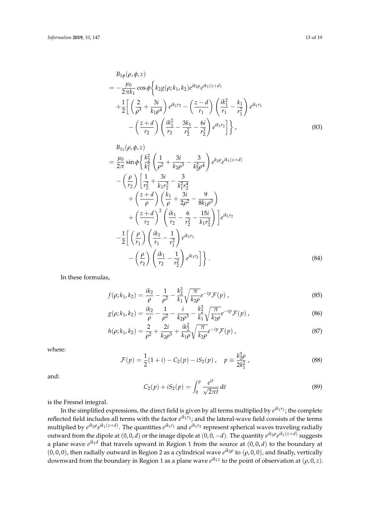$$
B_{1\phi}(\rho, \phi, z)
$$
  
=  $-\frac{\mu_0}{2\pi k_1} \cos \phi \left\{ k_2 g(\rho; k_1, k_2) e^{ik_2 \rho} e^{ik_1 (z+d)} \right\}$   
+  $\frac{1}{2} \left[ \left( \frac{2}{\rho^3} + \frac{3i}{k_1 \rho^4} \right) e^{ik_1 r_2} - \left( \frac{z-d}{r_1} \right) \left( \frac{ik_1^2}{r_1} - \frac{k_1}{r_1^2} \right) e^{ik_1 r_1} - \left( \frac{z+d}{r_2} \right) \left( \frac{ik_1^2}{r_2} - \frac{3k_1}{r_2^2} - \frac{6i}{r_2^3} \right) e^{ik_1 r_2} \right] \right\},$  (83)

$$
B_{1z}(\rho, \phi, z)
$$
  
=  $\frac{\mu_0}{2\pi} \sin \phi \left\{ \frac{k_2^2}{k_1^2} \left( \frac{1}{\rho^2} + \frac{3i}{k_2 \rho^3} - \frac{3}{k_2^2 \rho^4} \right) e^{k_2 \rho} e^{ik_1(z+d)}$   
-  $\left( \frac{\rho}{r_2} \right) \left[ \frac{1}{r_2^2} + \frac{3i}{k_1 r_2^3} - \frac{3}{k_1^2 r_2^4} + \left( \frac{z+d}{\rho} \right) \left( \frac{k_1}{\rho} + \frac{3i}{2\rho^2} - \frac{9}{8k_1 \rho^3} \right) + \left( \frac{z+d}{r_2} \right)^2 \left( \frac{ik_1}{r_2} - \frac{6}{r_2^2} - \frac{15i}{k_1 r_2^3} \right) e^{ik_1 r_2}$   
-  $\frac{1}{2} \left[ \left( \frac{\rho}{r_1} \right) \left( \frac{ik_1}{r_1} - \frac{1}{r_1^2} \right) e^{ik_1 r_1} - \left( \frac{\rho}{r_2} \right) \left( \frac{ik_1}{r_2} - \frac{1}{r_2^2} \right) e^{ik_1 r_2} \right] \right\}.$  (84)

In these formulas,

$$
f(\rho; k_1, k_2) = \frac{ik_2}{\rho} - \frac{1}{\rho^2} - \frac{k_2^3}{k_1} \sqrt{\frac{\pi}{k_2 \rho}} e^{-ip} \mathcal{F}(p) ,
$$
 (85)

$$
g(\rho; k_1, k_2) = \frac{ik_2}{\rho} - \frac{1}{\rho^2} - \frac{i}{k_2 \rho^3} - \frac{k_2^3}{k_1} \sqrt{\frac{\pi}{k_2 \rho}} e^{-ip} \mathcal{F}(p) ,
$$
 (86)

$$
h(\rho; k_1, k_2) = \frac{2}{\rho^2} + \frac{2i}{k_2 \rho^3} + \frac{ik_2^2}{k_1 \rho} \sqrt{\frac{\pi}{k_2 \rho}} e^{-ip} \mathcal{F}(p) \,, \tag{87}
$$

where:

$$
\mathcal{F}(p) = \frac{1}{2}(1+i) - C_2(p) - iS_2(p) , \quad p \equiv \frac{k_2^3 \rho}{2k_1^2} , \tag{88}
$$

and:

$$
C_2(p) + iS_2(p) = \int_0^p \frac{e^{it}}{\sqrt{2\pi t}} dt
$$
 (89)

is the Fresnel integral.

In the simplified expressions, the direct field is given by all terms multiplied by *e ik*<sup>1</sup> *<sup>r</sup>*<sup>1</sup> ; the complete reflected field includes all terms with the factor  $e^{ik_1r_2}$ ; and the lateral-wave field consists of the terms multiplied by  $e^{ik_2\rho}e^{ik_1(z+d)}$ . The quantities  $e^{ik_1r_1}$  and  $e^{ik_1r_2}$  represent spherical waves traveling radially outward from the dipole at  $(0, 0, d)$  or the image dipole at  $(0, 0, -d)$ . The quantity  $e^{ik_2\rho}e^{ik_1(z+d)}$  suggests a plane wave  $e^{ik_1d}$  that travels upward in Region 1 from the source at  $(0, 0, d)$  to the boundary at  $(0,0,0)$ , then radially outward in Region 2 as a cylindrical wave  $e^{ik_2\rho}$  to  $(\rho,0,0)$ , and finally, vertically downward from the boundary in Region 1 as a plane wave  $e^{ik_1z}$  to the point of observation at  $(\rho, 0, z)$ .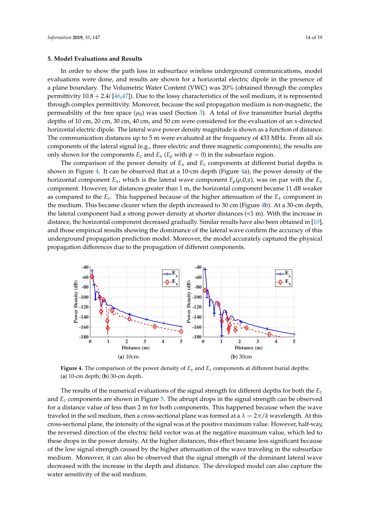#### <span id="page-14-0"></span>**5. Model Evaluations and Results**

In order to show the path loss in subsurface wireless underground communications, model evaluations were done, and results are shown for a horizontal electric dipole in the presence of a plane boundary. The Volumetric Water Content (VWC) was 20% (obtained through the complex permittivity 10.8 + 2.4*i* [\[46](#page-19-3)[,47\]](#page-19-4)). Due to the lossy characteristics of the soil medium, it is represented through complex permittivity. Moreover, because the soil propagation medium is non-magnetic, the permeability of the free space  $(\mu_0)$  was used (Section [3\)](#page-3-0). A total of five transmitter burial depths depths of 10 cm, 20 cm, 30 cm, 40 cm, and 50 cm were considered for the evaluation of an x-directed horizontal electric dipole. The lateral wave power density magnitude is shown as a function of distance. The communication distances up to 5 m were evaluated at the frequency of 433 MHz. From all six components of the lateral signal (e.g., three electric and three magnetic components), the results are only shown for the components  $E_z$  and  $E_x$  ( $E_\rho$  with  $\phi = 0$ ) in the subsurface region.

The comparison of the power density of  $E_x$  and  $E_z$  components at different burial depths is shown in Figure [4.](#page-14-1) It can be observed that at a 10-cm depth (Figure [4a](#page-14-1)), the power density of the horizontal component  $E_x$ , which is the lateral wave component  $E_\rho(\rho,0,z)$ , was on par with the  $E_z$ component. However, for distances greater than 1 m, the horizontal component became 11 dB weaker as compared to the  $E_z$ . This happened because of the higher attenuation of the  $E_x$  component in the medium. This became clearer when the depth increased to 30 cm (Figure [4b](#page-14-1)). At a 30-cm depth, the lateral component had a strong power density at shorter distances (<1 m). With the increase in distance, the horizontal component decreased gradually. Similar results have also been obtained in [\[10\]](#page-17-6), and those empirical results showing the dominance of the lateral wave confirm the accuracy of this underground propagation prediction model. Moreover, the model accurately captured the physical propagation differences due to the propagation of different components.

<span id="page-14-1"></span>

**Figure 4.** The comparison of the power density of  $E_x$  and  $E_z$  components at different burial depths: (**a**) 10-cm depth; (**b**) 30-cm depth.

The results of the numerical evaluations of the signal strength for different depths for both the *E<sup>z</sup>* and *E<sup>z</sup>* components are shown in Figure [5.](#page-15-2) The abrupt drops in the signal strength can be observed for a distance value of less than 2 m for both components. This happened because when the wave traveled in the soil medium, then a cross-sectional plane was formed at a  $\lambda = 2\pi/k$  wavelength. At this cross-sectional plane, the intensity of the signal was at the positive maximum value. However, half-way, the reversed direction of the electric field vector was at the negative maximum value, which led to these drops in the power density. At the higher distances, this effect became less significant because of the low signal strength caused by the higher attenuation of the wave traveling in the subsurface medium. Moreover, it can also be observed that the signal strength of the dominant lateral wave decreased with the increase in the depth and distance. The developed model can also capture the water sensitivity of the soil medium.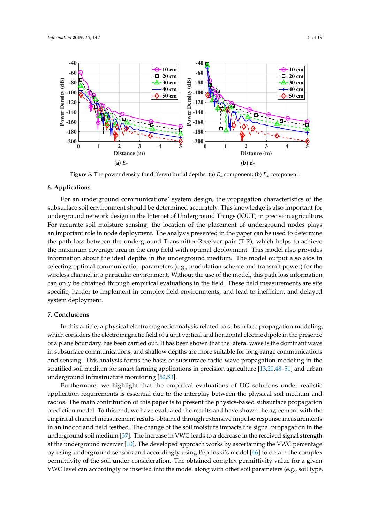<span id="page-15-2"></span>

**Figure 5.** The power density for different burial depths: (a)  $E<sub>x</sub>$  component; (b)  $E<sub>z</sub>$  component.

#### <span id="page-15-0"></span>**6. Applications**

For an underground communications' system design, the propagation characteristics of the subsurface soil environment should be determined accurately. This knowledge is also important for underground network design in the Internet of Underground Things (IOUT) in precision agriculture. For accurate soil moisture sensing, the location of the placement of underground nodes plays an important role in node deployment. The analysis presented in the paper can be used to determine the path loss between the underground Transmitter-Receiver pair (T-R), which helps to achieve the maximum coverage area in the crop field with optimal deployment. This model also provides information about the ideal depths in the underground medium. The model output also aids in selecting optimal communication parameters (e.g., modulation scheme and transmit power) for the wireless channel in a particular environment. Without the use of the model, this path loss information can only be obtained through empirical evaluations in the field. These field measurements are site specific, harder to implement in complex field environments, and lead to inefficient and delayed system deployment.

#### <span id="page-15-1"></span>**7. Conclusions**

In this article, a physical electromagnetic analysis related to subsurface propagation modeling, which considers the electromagnetic field of a unit vertical and horizontal electric dipole in the presence of a plane boundary, has been carried out. It has been shown that the lateral wave is the dominant wave in subsurface communications, and shallow depths are more suitable for long-range communications and sensing. This analysis forms the basis of subsurface radio wave propagation modeling in the stratified soil medium for smart farming applications in precision agriculture [\[13,](#page-17-9)[20](#page-17-10)[,48–](#page-19-5)[51\]](#page-19-6) and urban underground infrastructure monitoring [\[52,](#page-19-7)[53\]](#page-19-8).

Furthermore, we highlight that the empirical evaluations of UG solutions under realistic application requirements is essential due to the interplay between the physical soil medium and radios. The main contribution of this paper is to present the physics-based subsurface propagation prediction model. To this end, we have evaluated the results and have shown the agreement with the empirical channel measurement results obtained through extensive impulse response measurements in an indoor and field testbed. The change of the soil moisture impacts the signal propagation in the underground soil medium [\[37\]](#page-18-9). The increase in VWC leads to a decrease in the received signal strength at the underground receiver [\[10\]](#page-17-6). The developed approach works by ascertaining the VWC percentage by using underground sensors and accordingly using Peplinski's model [\[46\]](#page-19-3) to obtain the complex permittivity of the soil under consideration. The obtained complex permittivity value for a given VWC level can accordingly be inserted into the model along with other soil parameters (e.g., soil type,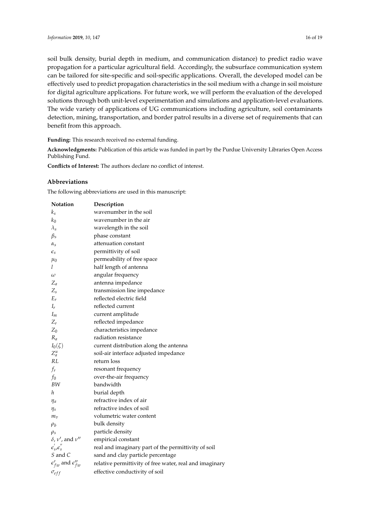soil bulk density, burial depth in medium, and communication distance) to predict radio wave propagation for a particular agricultural field. Accordingly, the subsurface communication system can be tailored for site-specific and soil-specific applications. Overall, the developed model can be effectively used to predict propagation characteristics in the soil medium with a change in soil moisture for digital agriculture applications. For future work, we will perform the evaluation of the developed solutions through both unit-level experimentation and simulations and application-level evaluations. The wide variety of applications of UG communications including agriculture, soil contaminants detection, mining, transportation, and border patrol results in a diverse set of requirements that can benefit from this approach.

**Funding:** This research received no external funding.

**Acknowledgments:** Publication of this article was funded in part by the Purdue University Libraries Open Access Publishing Fund.

**Conflicts of Interest:** The authors declare no conflict of interest.

#### **Abbreviations**

The following abbreviations are used in this manuscript:

| Notation                               | Description                                             |
|----------------------------------------|---------------------------------------------------------|
| $k_{\it s}$                            | wavenumber in the soil                                  |
| $k_0$                                  | wavenumber in the air                                   |
| $\lambda_{\rm s}$                      | wavelength in the soil                                  |
| $\beta_s$                              | phase constant                                          |
| $\alpha_{\rm s}$                       | attenuation constant                                    |
| $\epsilon_{\textit{s}}$                | permittivity of soil                                    |
| $\mu_0$                                | permeability of free space                              |
| l                                      | half length of antenna                                  |
| $\omega$                               | angular frequency                                       |
| $Z_a$                                  | antenna impedance                                       |
| $Z_{\rm s}$                            | transmission line impedance                             |
| $E_r$                                  | reflected electric field                                |
| $I_r$                                  | reflected current                                       |
| $I_m$                                  | current amplitude                                       |
| $Z_r$                                  | reflected impedance                                     |
| $Z_0$                                  | characteristics impedance                               |
| $R_a$                                  | radiation resistance                                    |
| $I_0(\zeta)$                           | current distribution along the antenna                  |
| $Z_a^u$                                | soil-air interface adjusted impedance                   |
| RL                                     | return loss                                             |
| $f_r$                                  | resonant frequency                                      |
| $f_0$                                  | over-the-air frequency                                  |
| BW                                     | bandwidth                                               |
| h                                      | burial depth                                            |
| $\eta_a$                               | refractive index of air                                 |
| $\eta_s$                               | refractive index of soil                                |
| $m_{\overline{v}}$                     | volumetric water content                                |
| $\rho_b$                               | bulk density                                            |
| $\rho_s$                               | particle density                                        |
| $\delta$ , $\nu'$ , and $\nu''$        | empirical constant                                      |
| $\epsilon'_{s}$ , $\epsilon''_{s}$     | real and imaginary part of the permittivity of soil     |
| S and C                                | sand and clay particle percentage                       |
| $\epsilon'_{fw}$ and $\epsilon''_{fw}$ | relative permittivity of free water, real and imaginary |
| $\sigma_{eff}$                         | effective conductivity of soil                          |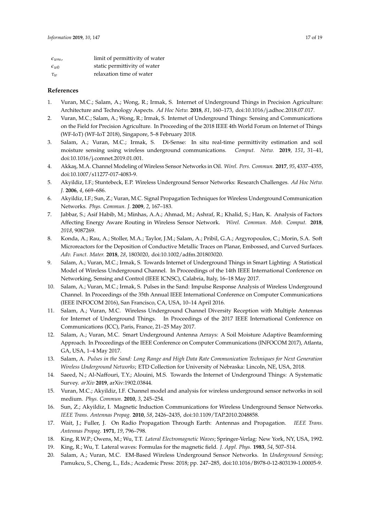| $\epsilon_{w\infty}$ | limit of permittivity of water |
|----------------------|--------------------------------|
| $\epsilon_{w0}$      | static permittivity of water   |
| $\tau_w$             | relaxation time of water       |

#### **References**

- <span id="page-17-0"></span>1. Vuran, M.C.; Salam, A.; Wong, R.; Irmak, S. Internet of Underground Things in Precision Agriculture: Architecture and Technology Aspects. *Ad Hoc Netw.* **2018**, *81*, 160–173, doi[:10.1016/j.adhoc.2018.07.017.](https://doi.org/https://doi.org/10.1016/j.adhoc.2018.07.017)
- 2. Vuran, M.C.; Salam, A.; Wong, R.; Irmak, S. Internet of Underground Things: Sensing and Communications on the Field for Precision Agriculture. In Proceeding of the 2018 IEEE 4th World Forum on Internet of Things (WF-IoT) (WF-IoT 2018), Singapore, 5–8 February 2018.
- <span id="page-17-1"></span>3. Salam, A.; Vuran, M.C.; Irmak, S. Di-Sense: In situ real-time permittivity estimation and soil moisture sensing using wireless underground communications. *Comput. Netw.* **2019**, *151*, 31–41, doi[:10.1016/j.comnet.2019.01.001.](https://doi.org/https://doi.org/10.1016/j.comnet.2019.01.001)
- 4. Akka¸s, M.A. Channel Modeling of Wireless Sensor Networks in Oil. *Wirel. Pers. Commun.* **2017**, *95*, 4337–4355, doi[:10.1007/s11277-017-4083-9.](https://doi.org/10.1007/s11277-017-4083-9)
- 5. Akyildiz, I.F.; Stuntebeck, E.P. Wireless Underground Sensor Networks: Research Challenges. *Ad Hoc Netw. J.* **2006**, *4*, 669–686.
- <span id="page-17-4"></span>6. Akyildiz, I.F.; Sun, Z.; Vuran, M.C. Signal Propagation Techniques for Wireless Underground Communication Networks. *Phys. Commun. J.* **2009**, *2*, 167–183.
- 7. Jabbar, S.; Asif Habib, M.; Minhas, A.A.; Ahmad, M.; Ashraf, R.; Khalid, S.; Han, K. Analysis of Factors Affecting Energy Aware Routing in Wireless Sensor Network. *Wirel. Commun. Mob. Comput.* **2018**, *2018*, 9087269.
- 8. Konda, A.; Rau, A.; Stoller, M.A.; Taylor, J.M.; Salam, A.; Pribil, G.A.; Argyropoulos, C.; Morin, S.A. Soft Microreactors for the Deposition of Conductive Metallic Traces on Planar, Embossed, and Curved Surfaces. *Adv. Funct. Mater.* **2018**, *28*, 1803020, doi[:10.1002/adfm.201803020.](https://doi.org/10.1002/adfm.201803020)
- <span id="page-17-7"></span>9. Salam, A.; Vuran, M.C.; Irmak, S. Towards Internet of Underground Things in Smart Lighting: A Statistical Model of Wireless Underground Channel. In Proceedings of the 14th IEEE International Conference on Networking, Sensing and Control (IEEE ICNSC), Calabria, Italy, 16–18 May 2017.
- <span id="page-17-6"></span>10. Salam, A.; Vuran, M.C.; Irmak, S. Pulses in the Sand: Impulse Response Analysis of Wireless Underground Channel. In Proceedings of the 35th Annual IEEE International Conference on Computer Communications (IEEE INFOCOM 2016), San Francisco, CA, USA, 10–14 April 2016.
- 11. Salam, A.; Vuran, M.C. Wireless Underground Channel Diversity Reception with Multiple Antennas for Internet of Underground Things. In Proceedings of the 2017 IEEE International Conference on Communications (ICC), Paris, France, 21–25 May 2017.
- 12. Salam, A.; Vuran, M.C. Smart Underground Antenna Arrays: A Soil Moisture Adaptive Beamforming Approach. In Proceedings of the IEEE Conference on Computer Communications (INFOCOM 2017), Atlanta, GA, USA, 1–4 May 2017.
- <span id="page-17-9"></span>13. Salam, A. *Pulses in the Sand: Long Range and High Data Rate Communication Techniques for Next Generation Wireless Underground Networks*; ETD Collection for University of Nebraska: Lincoln, NE, USA, 2018.
- 14. Saeed, N.; Al-Naffouri, T.Y.; Alouini, M.S. Towards the Internet of Underground Things: A Systematic Survey. *arXiv* **2019**, arXiv:1902.03844.
- <span id="page-17-5"></span>15. Vuran, M.C.; Akyildiz, I.F. Channel model and analysis for wireless underground sensor networks in soil medium. *Phys. Commun.* **2010**, *3*, 245–254.
- <span id="page-17-2"></span>16. Sun, Z.; Akyildiz, I. Magnetic Induction Communications for Wireless Underground Sensor Networks. *IEEE Trans. Antennas Propag.* **2010**, *58*, 2426–2435, doi[:10.1109/TAP.2010.2048858.](https://doi.org/10.1109/TAP.2010.2048858)
- <span id="page-17-3"></span>17. Wait, J.; Fuller, J. On Radio Propagation Through Earth: Antennas and Propagation. *IEEE Trans. Antennas Propag.* **1971**, *19*, 796–798.
- <span id="page-17-8"></span>18. King, R.W.P.; Owens, M.; Wu, T.T. *Lateral Electromagnetic Waves*; Springer-Verlag: New York, NY, USA, 1992.
- 19. King, R.; Wu, T. Lateral waves: Formulas for the magnetic field. *J. Appl. Phys.* **1983**, *54*, 507–514.
- <span id="page-17-10"></span>20. Salam, A.; Vuran, M.C. EM-Based Wireless Underground Sensor Networks. In *Underground Sensing*; Pamukcu, S., Cheng, L., Eds.; Academic Press: 2018; pp. 247–285, doi[:10.1016/B978-0-12-803139-1.00005-9.](https://doi.org/https://doi.org/10.1016/B978-0-12-803139-1.00005-9)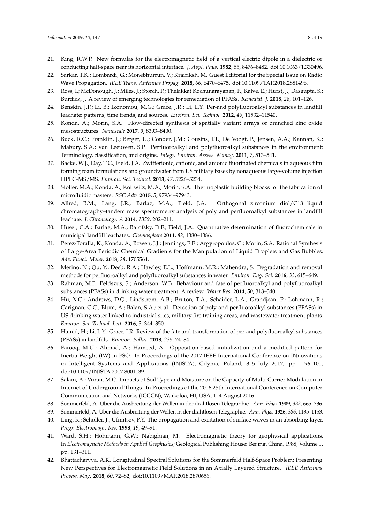- 21. King, R.W.P. New formulas for the electromagnetic field of a vertical electric dipole in a dielectric or conducting half-space near its horizontal interface. *J. Appl. Phys.* **1982**, *53*, 8476–8482, doi[:10.1063/1.330496.](https://doi.org/10.1063/1.330496)
- <span id="page-18-0"></span>22. Sarkar, T.K.; Lombardi, G.; Monebhurrun, V.; Krairiksh, M. Guest Editorial for the Special Issue on Radio Wave Propagation. *IEEE Trans. Antennas Propag.* **2018**, *66*, 6470–6475, doi[:10.1109/TAP.2018.2881496.](https://doi.org/10.1109/TAP.2018.2881496)
- <span id="page-18-1"></span>23. Ross, I.; McDonough, J.; Miles, J.; Storch, P.; Thelakkat Kochunarayanan, P.; Kalve, E.; Hurst, J.; Dasgupta, S.; Burdick, J. A review of emerging technologies for remediation of PFASs. *Remediat. J.* **2018**, *28*, 101–126.
- 24. Benskin, J.P.; Li, B.; Ikonomou, M.G.; Grace, J.R.; Li, L.Y. Per-and polyfluoroalkyl substances in landfill leachate: patterns, time trends, and sources. *Environ. Sci. Technol.* **2012**, *46*, 11532–11540.
- <span id="page-18-2"></span>25. Konda, A.; Morin, S.A. Flow-directed synthesis of spatially variant arrays of branched zinc oxide mesostructures. *Nanoscale* **2017**, *9*, 8393–8400.
- <span id="page-18-3"></span>26. Buck, R.C.; Franklin, J.; Berger, U.; Conder, J.M.; Cousins, I.T.; De Voogt, P.; Jensen, A.A.; Kannan, K.; Mabury, S.A.; van Leeuwen, S.P. Perfluoroalkyl and polyfluoroalkyl substances in the environment: Terminology, classification, and origins. *Integr. Environ. Assess. Manag.* **2011**, *7*, 513–541.
- 27. Backe, W.J.; Day, T.C.; Field, J.A. Zwitterionic, cationic, and anionic fluorinated chemicals in aqueous film forming foam formulations and groundwater from US military bases by nonaqueous large-volume injection HPLC-MS/MS. *Environ. Sci. Technol.* **2013**, *47*, 5226–5234.
- <span id="page-18-4"></span>28. Stoller, M.A.; Konda, A.; Kottwitz, M.A.; Morin, S.A. Thermoplastic building blocks for the fabrication of microfluidic masters. *RSC Adv.* **2015**, *5*, 97934–97943.
- <span id="page-18-5"></span>29. Allred, B.M.; Lang, J.R.; Barlaz, M.A.; Field, J.A. Orthogonal zirconium diol/C18 liquid chromatography–tandem mass spectrometry analysis of poly and perfluoroalkyl substances in landfill leachate. *J. Chromatogr. A* **2014**, *1359*, 202–211.
- 30. Huset, C.A.; Barlaz, M.A.; Barofsky, D.F.; Field, J.A. Quantitative determination of fluorochemicals in municipal landfill leachates. *Chemosphere* **2011**, *82*, 1380–1386.
- 31. Perez-Toralla, K.; Konda, A.; Bowen, J.J.; Jennings, E.E.; Argyropoulos, C.; Morin, S.A. Rational Synthesis of Large-Area Periodic Chemical Gradients for the Manipulation of Liquid Droplets and Gas Bubbles. *Adv. Funct. Mater.* **2018**, *28*, 1705564.
- 32. Merino, N.; Qu, Y.; Deeb, R.A.; Hawley, E.L.; Hoffmann, M.R.; Mahendra, S. Degradation and removal methods for perfluoroalkyl and polyfluoroalkyl substances in water. *Environ. Eng. Sci.* **2016**, *33*, 615–649.
- <span id="page-18-6"></span>33. Rahman, M.F.; Peldszus, S.; Anderson, W.B. Behaviour and fate of perfluoroalkyl and polyfluoroalkyl substances (PFASs) in drinking water treatment: A review. *Water Res.* **2014**, *50*, 318–340.
- <span id="page-18-7"></span>34. Hu, X.C.; Andrews, D.Q.; Lindstrom, A.B.; Bruton, T.A.; Schaider, L.A.; Grandjean, P.; Lohmann, R.; Carignan, C.C.; Blum, A.; Balan, S.A.; et al. Detection of poly-and perfluoroalkyl substances (PFASs) in US drinking water linked to industrial sites, military fire training areas, and wastewater treatment plants. *Environ. Sci. Technol. Lett.* **2016**, *3*, 344–350.
- 35. Hamid, H.; Li, L.Y.; Grace, J.R. Review of the fate and transformation of per-and polyfluoroalkyl substances (PFASs) in landfills. *Environ. Pollut.* **2018**, *235*, 74–84.
- <span id="page-18-8"></span>36. Farooq, M.U.; Ahmad, A.; Hameed, A. Opposition-based initialization and a modified pattern for Inertia Weight (IW) in PSO. In Proceedings of the 2017 IEEE International Conference on INnovations in Intelligent SysTems and Applications (INISTA), Gdynia, Poland, 3–5 July 2017; pp. 96–101, doi[:10.1109/INISTA.2017.8001139.](https://doi.org/10.1109/INISTA.2017.8001139)
- <span id="page-18-9"></span>37. Salam, A.; Vuran, M.C. Impacts of Soil Type and Moisture on the Capacity of Multi-Carrier Modulation in Internet of Underground Things. In Proceedings of the 2016 25th International Conference on Computer Communication and Networks (ICCCN), Waikoloa, HI, USA, 1–4 August 2016.
- <span id="page-18-10"></span>38. Sommerfeld, A. Über die Ausbreitung der Wellen in der drahtlosen Telegraphie. *Ann. Phys.* **1909**, *333*, 665–736.
- 39. Sommerfeld, A. Über die Ausbreitung der Wellen in der drahtlosen Telegraphie. *Ann. Phys.* **1926**, *386*, 1135–1153.
- 40. Ling, R.; Scholler, J.; Ufimtsev, P.Y. The propagation and excitation of surface waves in an absorbing layer. *Progr. Electromagn. Res.* **1998**, *19*, 49–91.
- 41. Ward, S.H.; Hohmann, G.W.; Nabighian, M. Electromagnetic theory for geophysical applications. In *Electromagnetic Methods in Applied Geophysics*; Geological Publishing House: Beijing, China, 1988; Volume 1, pp. 131–311.
- <span id="page-18-11"></span>42. Bhattacharyya, A.K. Longitudinal Spectral Solutions for the Sommerfeld Half-Space Problem: Presenting New Perspectives for Electromagnetic Field Solutions in an Axially Layered Structure. *IEEE Antennas Propag. Mag.* **2018**, *60*, 72–82, doi[:10.1109/MAP.2018.2870656.](https://doi.org/10.1109/MAP.2018.2870656)